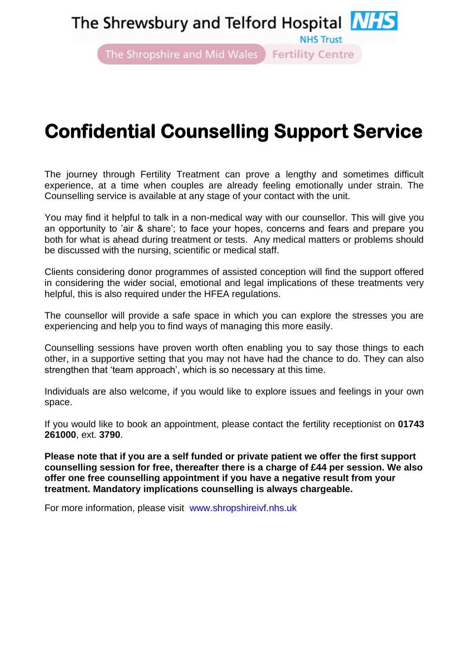# The Shrewsbury and Telford Hospital **NHS**

**NHS Trust** 

The Shropshire and Mid Wales Fertility Centre

# **Confidential Counselling Support Service**

The journey through Fertility Treatment can prove a lengthy and sometimes difficult experience, at a time when couples are already feeling emotionally under strain. The Counselling service is available at any stage of your contact with the unit.

You may find it helpful to talk in a non-medical way with our counsellor. This will give you an opportunity to 'air & share'; to face your hopes, concerns and fears and prepare you both for what is ahead during treatment or tests. Any medical matters or problems should be discussed with the nursing, scientific or medical staff.

Clients considering donor programmes of assisted conception will find the support offered in considering the wider social, emotional and legal implications of these treatments very helpful, this is also required under the HFEA regulations.

The counsellor will provide a safe space in which you can explore the stresses you are experiencing and help you to find ways of managing this more easily.

Counselling sessions have proven worth often enabling you to say those things to each other, in a supportive setting that you may not have had the chance to do. They can also strengthen that 'team approach', which is so necessary at this time.

Individuals are also welcome, if you would like to explore issues and feelings in your own space.

If you would like to book an appointment, please contact the fertility receptionist on **01743 261000**, ext. **3790**.

**Please note that if you are a self funded or private patient we offer the first support counselling session for free, thereafter there is a charge of £44 per session. We also offer one free counselling appointment if you have a negative result from your treatment. Mandatory implications counselling is always chargeable.**

For more information, please visit www.shropshireivf.nhs.uk